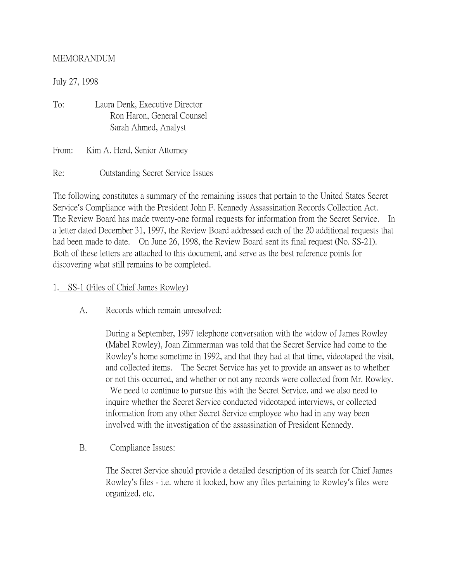#### MEMORANDUM

July 27, 1998

To: Laura Denk, Executive Director Ron Haron, General Counsel Sarah Ahmed, Analyst

From: Kim A. Herd, Senior Attorney

Re: Outstanding Secret Service Issues

The following constitutes a summary of the remaining issues that pertain to the United States Secret Service's Compliance with the President John F. Kennedy Assassination Records Collection Act. The Review Board has made twenty-one formal requests for information from the Secret Service. In a letter dated December 31, 1997, the Review Board addressed each of the 20 additional requests that had been made to date. On June 26, 1998, the Review Board sent its final request (No. SS-21). Both of these letters are attached to this document, and serve as the best reference points for discovering what still remains to be completed.

- 1. SS-1 (Files of Chief James Rowley)
	- A. Records which remain unresolved:

During a September, 1997 telephone conversation with the widow of James Rowley (Mabel Rowley), Joan Zimmerman was told that the Secret Service had come to the Rowley's home sometime in 1992, and that they had at that time, videotaped the visit, and collected items. The Secret Service has yet to provide an answer as to whether or not this occurred, and whether or not any records were collected from Mr. Rowley. We need to continue to pursue this with the Secret Service, and we also need to inquire whether the Secret Service conducted videotaped interviews, or collected information from any other Secret Service employee who had in any way been involved with the investigation of the assassination of President Kennedy.

B. Compliance Issues:

The Secret Service should provide a detailed description of its search for Chief James Rowley's files - i.e. where it looked, how any files pertaining to Rowley's files were organized, etc.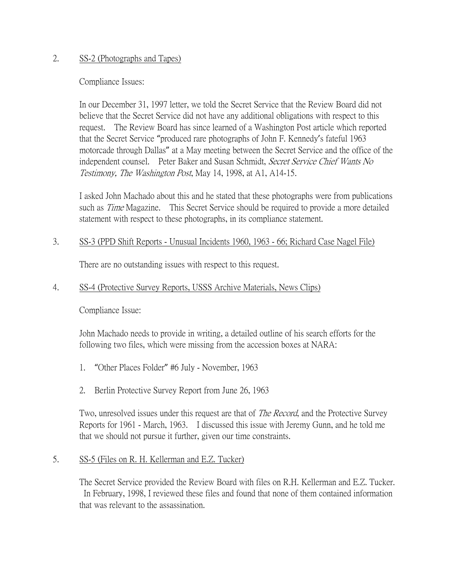#### 2. SS-2 (Photographs and Tapes)

Compliance Issues:

In our December 31, 1997 letter, we told the Secret Service that the Review Board did not believe that the Secret Service did not have any additional obligations with respect to this request. The Review Board has since learned of a Washington Post article which reported that the Secret Service "produced rare photographs of John F. Kennedy's fateful 1963 motorcade through Dallas" at a May meeting between the Secret Service and the office of the independent counsel. Peter Baker and Susan Schmidt, Secret Service Chief Wants No Testimony, The Washington Post, May 14, 1998, at A1, A14-15.

I asked John Machado about this and he stated that these photographs were from publications such as *Time* Magazine. This Secret Service should be required to provide a more detailed statement with respect to these photographs, in its compliance statement.

### 3. SS-3 (PPD Shift Reports - Unusual Incidents 1960, 1963 - 66; Richard Case Nagel File)

There are no outstanding issues with respect to this request.

## 4. SS-4 (Protective Survey Reports, USSS Archive Materials, News Clips)

Compliance Issue:

John Machado needs to provide in writing, a detailed outline of his search efforts for the following two files, which were missing from the accession boxes at NARA:

- 1. "Other Places Folder" #6 July November, 1963
- 2. Berlin Protective Survey Report from June 26, 1963

Two, unresolved issues under this request are that of *The Record*, and the Protective Survey Reports for 1961 - March, 1963. I discussed this issue with Jeremy Gunn, and he told me that we should not pursue it further, given our time constraints.

5. SS-5 (Files on R. H. Kellerman and E.Z. Tucker)

The Secret Service provided the Review Board with files on R.H. Kellerman and E.Z. Tucker. In February, 1998, I reviewed these files and found that none of them contained information that was relevant to the assassination.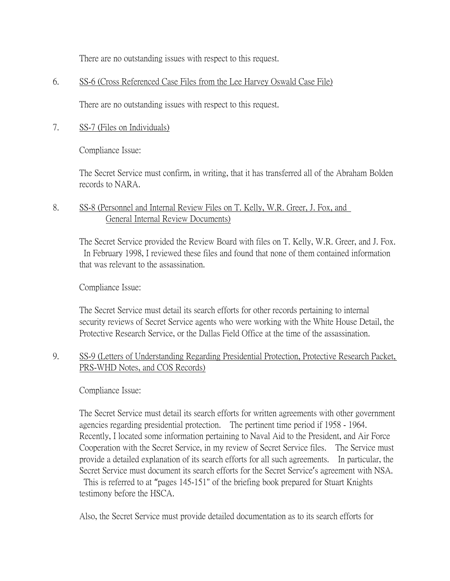There are no outstanding issues with respect to this request.

#### 6. SS-6 (Cross Referenced Case Files from the Lee Harvey Oswald Case File)

There are no outstanding issues with respect to this request.

#### 7. SS-7 (Files on Individuals)

Compliance Issue:

The Secret Service must confirm, in writing, that it has transferred all of the Abraham Bolden records to NARA.

### 8. SS-8 (Personnel and Internal Review Files on T. Kelly, W.R. Greer, J. Fox, and General Internal Review Documents)

The Secret Service provided the Review Board with files on T. Kelly, W.R. Greer, and J. Fox. In February 1998, I reviewed these files and found that none of them contained information that was relevant to the assassination.

Compliance Issue:

The Secret Service must detail its search efforts for other records pertaining to internal security reviews of Secret Service agents who were working with the White House Detail, the Protective Research Service, or the Dallas Field Office at the time of the assassination.

## 9. SS-9 (Letters of Understanding Regarding Presidential Protection, Protective Research Packet, PRS-WHD Notes, and COS Records)

Compliance Issue:

The Secret Service must detail its search efforts for written agreements with other government agencies regarding presidential protection. The pertinent time period if 1958 - 1964. Recently, I located some information pertaining to Naval Aid to the President, and Air Force Cooperation with the Secret Service, in my review of Secret Service files. The Service must provide a detailed explanation of its search efforts for all such agreements. In particular, the Secret Service must document its search efforts for the Secret Service's agreement with NSA. This is referred to at "pages 145-151" of the briefing book prepared for Stuart Knights testimony before the HSCA.

Also, the Secret Service must provide detailed documentation as to its search efforts for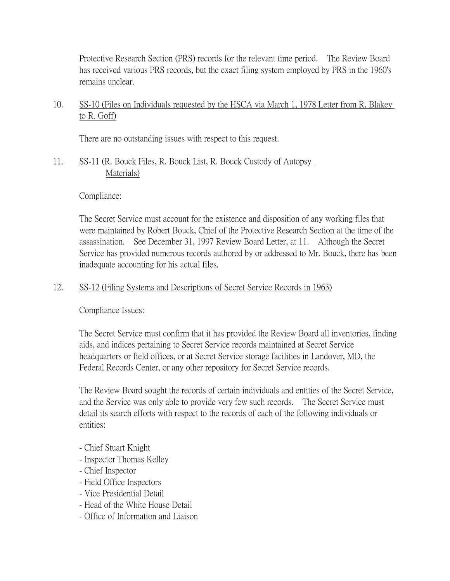Protective Research Section (PRS) records for the relevant time period. The Review Board has received various PRS records, but the exact filing system employed by PRS in the 1960's remains unclear.

# 10. SS-10 (Files on Individuals requested by the HSCA via March 1, 1978 Letter from R. Blakey to R. Goff)

There are no outstanding issues with respect to this request.

11. SS-11 (R. Bouck Files, R. Bouck List, R. Bouck Custody of Autopsy Materials)

#### Compliance:

The Secret Service must account for the existence and disposition of any working files that were maintained by Robert Bouck, Chief of the Protective Research Section at the time of the assassination. See December 31, 1997 Review Board Letter, at 11. Although the Secret Service has provided numerous records authored by or addressed to Mr. Bouck, there has been inadequate accounting for his actual files.

### 12. SS-12 (Filing Systems and Descriptions of Secret Service Records in 1963)

Compliance Issues:

The Secret Service must confirm that it has provided the Review Board all inventories, finding aids, and indices pertaining to Secret Service records maintained at Secret Service headquarters or field offices, or at Secret Service storage facilities in Landover, MD, the Federal Records Center, or any other repository for Secret Service records.

The Review Board sought the records of certain individuals and entities of the Secret Service, and the Service was only able to provide very few such records. The Secret Service must detail its search efforts with respect to the records of each of the following individuals or entities:

- Chief Stuart Knight
- Inspector Thomas Kelley
- Chief Inspector
- Field Office Inspectors
- Vice Presidential Detail
- Head of the White House Detail
- Office of Information and Liaison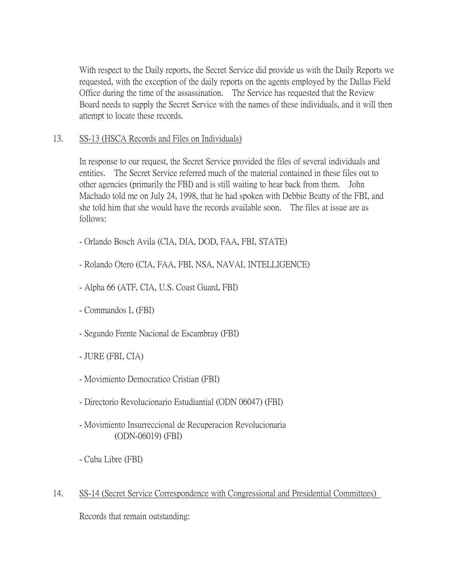With respect to the Daily reports, the Secret Service did provide us with the Daily Reports we requested, with the exception of the daily reports on the agents employed by the Dallas Field Office during the time of the assassination. The Service has requested that the Review Board needs to supply the Secret Service with the names of these individuals, and it will then attempt to locate these records.

## 13. SS-13 (HSCA Records and Files on Individuals)

In response to our request, the Secret Service provided the files of several individuals and entities. The Secret Service referred much of the material contained in these files out to other agencies (primarily the FBI) and is still waiting to hear back from them. John Machado told me on July 24, 1998, that he had spoken with Debbie Beatty of the FBI, and she told him that she would have the records available soon. The files at issue are as follows:

- Orlando Bosch Avila (CIA, DIA, DOD, FAA, FBI, STATE)
- Rolando Otero (CIA, FAA, FBI, NSA, NAVAL INTELLIGENCE)
- Alpha 66 (ATF, CIA, U.S. Coast Guard, FBI)
- Commandos L (FBI)
- Segundo Frente Nacional de Escambray (FBI)
- JURE (FBI, CIA)
- Movimiento Democratico Cristian (FBI)
- Directorio Revolucionario Estudiantial (ODN 06047) (FBI)
- Movimiento Insurreccional de Recuperacion Revolucionaria (ODN-06019) (FBI)
- Cuba Libre (FBI)
- 14. SS-14 (Secret Service Correspondence with Congressional and Presidential Committees)

Records that remain outstanding: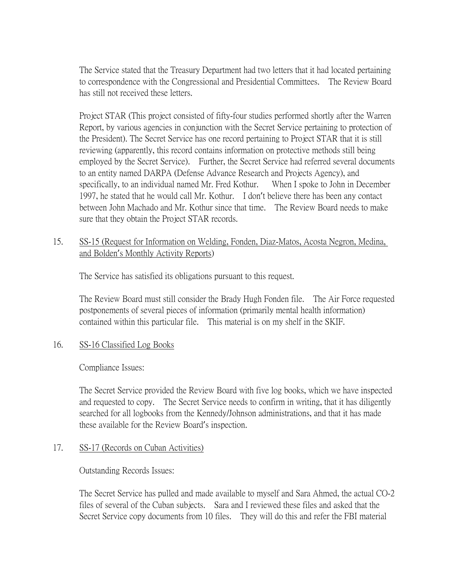The Service stated that the Treasury Department had two letters that it had located pertaining to correspondence with the Congressional and Presidential Committees. The Review Board has still not received these letters.

Project STAR (This project consisted of fifty-four studies performed shortly after the Warren Report, by various agencies in conjunction with the Secret Service pertaining to protection of the President). The Secret Service has one record pertaining to Project STAR that it is still reviewing (apparently, this record contains information on protective methods still being employed by the Secret Service). Further, the Secret Service had referred several documents to an entity named DARPA (Defense Advance Research and Projects Agency), and specifically, to an individual named Mr. Fred Kothur. When I spoke to John in December 1997, he stated that he would call Mr. Kothur. I don't believe there has been any contact between John Machado and Mr. Kothur since that time. The Review Board needs to make sure that they obtain the Project STAR records.

### 15. SS-15 (Request for Information on Welding, Fonden, Diaz-Matos, Acosta Negron, Medina, and Bolden's Monthly Activity Reports)

The Service has satisfied its obligations pursuant to this request.

The Review Board must still consider the Brady Hugh Fonden file. The Air Force requested postponements of several pieces of information (primarily mental health information) contained within this particular file. This material is on my shelf in the SKIF.

### 16. SS-16 Classified Log Books

Compliance Issues:

The Secret Service provided the Review Board with five log books, which we have inspected and requested to copy. The Secret Service needs to confirm in writing, that it has diligently searched for all logbooks from the Kennedy/Johnson administrations, and that it has made these available for the Review Board's inspection.

#### 17. SS-17 (Records on Cuban Activities)

Outstanding Records Issues:

The Secret Service has pulled and made available to myself and Sara Ahmed, the actual CO-2 files of several of the Cuban subjects. Sara and I reviewed these files and asked that the Secret Service copy documents from 10 files. They will do this and refer the FBI material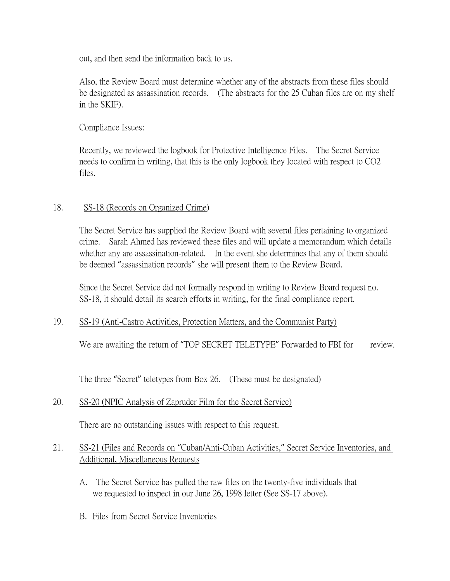out, and then send the information back to us.

Also, the Review Board must determine whether any of the abstracts from these files should be designated as assassination records. (The abstracts for the 25 Cuban files are on my shelf in the SKIF).

Compliance Issues:

Recently, we reviewed the logbook for Protective Intelligence Files. The Secret Service needs to confirm in writing, that this is the only logbook they located with respect to CO2 files.

### 18. SS-18 (Records on Organized Crime)

The Secret Service has supplied the Review Board with several files pertaining to organized crime. Sarah Ahmed has reviewed these files and will update a memorandum which details whether any are assassination-related. In the event she determines that any of them should be deemed "assassination records" she will present them to the Review Board.

Since the Secret Service did not formally respond in writing to Review Board request no. SS-18, it should detail its search efforts in writing, for the final compliance report.

### 19. SS-19 (Anti-Castro Activities, Protection Matters, and the Communist Party)

We are awaiting the return of "TOP SECRET TELETYPE" Forwarded to FBI for review.

The three "Secret" teletypes from Box 26. (These must be designated)

# 20. SS-20 (NPIC Analysis of Zapruder Film for the Secret Service)

There are no outstanding issues with respect to this request.

## 21. SS-21 (Files and Records on "Cuban/Anti-Cuban Activities," Secret Service Inventories, and Additional, Miscellaneous Requests

- A. The Secret Service has pulled the raw files on the twenty-five individuals that we requested to inspect in our June 26, 1998 letter (See SS-17 above).
- B. Files from Secret Service Inventories